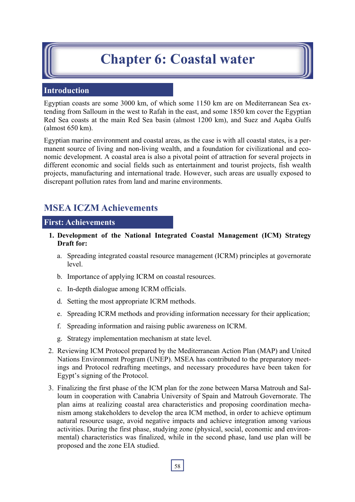# **Chapter 6: Coastal water**

## **Introduction**

Egyptian coasts are some 3000 km, of which some 1150 km are on Mediterranean Sea extending from Salloum in the west to Rafah in the east, and some 1850 km cover the Egyptian Red Sea coasts at the main Red Sea basin (almost 1200 km), and Suez and Aqaba Gulfs (almost 650 km).

Egyptian marine environment and coastal areas, as the case is with all coastal states, is a permanent source of living and non-living wealth, and a foundation for civilizational and economic development. A coastal area is also a pivotal point of attraction for several projects in different economic and social fields such as entertainment and tourist projects, fish wealth projects, manufacturing and international trade. However, such areas are usually exposed to discrepant pollution rates from land and marine environments.

## **MSEA ICZM Achievements**

### **First: Achievements**

- **1. Development of the National Integrated Coastal Management (ICM) Strategy Draft for:** 
	- a. Spreading integrated coastal resource management (ICRM) principles at governorate level.
	- b. Importance of applying ICRM on coastal resources.
	- c. In-depth dialogue among ICRM officials.
	- d. Setting the most appropriate ICRM methods.
	- e. Spreading ICRM methods and providing information necessary for their application;
	- f. Spreading information and raising public awareness on ICRM.
	- g. Strategy implementation mechanism at state level.
- 2. Reviewing ICM Protocol prepared by the Mediterranean Action Plan (MAP) and United Nations Environment Program (UNEP). MSEA has contributed to the preparatory meetings and Protocol redrafting meetings, and necessary procedures have been taken for Egypt's signing of the Protocol.
- 3. Finalizing the first phase of the ICM plan for the zone between Marsa Matrouh and Salloum in cooperation with Canabria University of Spain and Matrouh Governorate. The plan aims at realizing coastal area characteristics and proposing coordination mechanism among stakeholders to develop the area ICM method, in order to achieve optimum natural resource usage, avoid negative impacts and achieve integration among various activities. During the first phase, studying zone (physical, social, economic and environmental) characteristics was finalized, while in the second phase, land use plan will be proposed and the zone EIA studied.